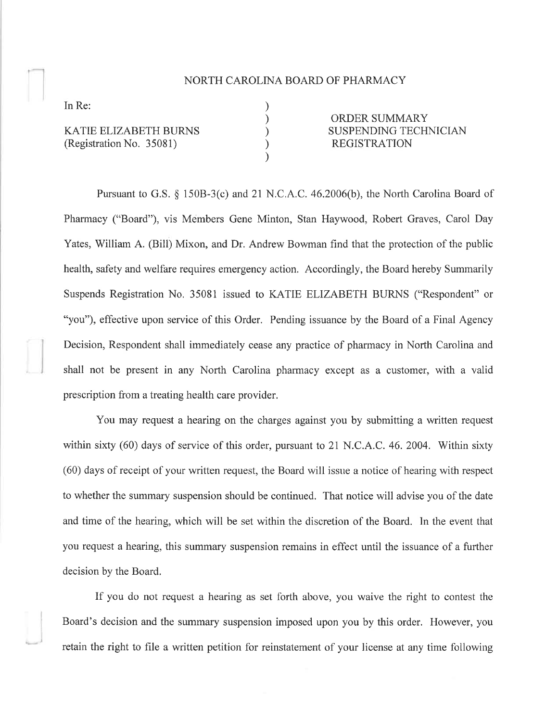## NORTH CAROLINA BOARD OF PHARMACY

) ) ) ) )

In Re:

KATIE ELIZABETH BURNS (Registration No. 35081)

ORDER SUMMARY SUSPENDING TECHNICIAN REGISTRATION

Pursuant to G.S. \$ 1508-3(c) and 2I N.C.A.C. 46.2006(b), the North Carolina Board of Pharmacy ("Board"), vis Members Gene Minton, Stan Haywood, Robert Graves, Carol Day Yates, William A. (Bill) Mixon, and Dr. Andrew Bowman find that the protection of the public health, safety and welfare requires emergency action. Accordingly, the Board hereby Summarily Suspends Registration No. 35081 issued to KATIE ELIZABETH BURNS ("Respondent" or "you"), effective upon service of this Order. Pending issuance by the Board of a Final Agency Decision, Respondent shall immediately cease any practice of pharmacy in North Carolina and shall not be present in any North Carolina pharmacy except as a customer, with a valid prescription from a treating health care provider.

You may request a hearing on the charges against you by submitting a written request within sixty (60) days of service of this order, pursuant to 21 N.C.A.C.46.2004. Within sixty (60) days of receipt of your written request, the Board will issue a notice of hearing with respect to whether the summary suspension should be continued. That notice will advise you of the date and time of the hearing, which will be set within the discretion of the Board. In the event that you request a hearing, this summary suspension remains in effect until the issuance of a further decision by the Board.

If you do not request a hearing as set forth above, you waive the right to contest the Board's decision and the summary suspension imposed upon you by this order. However, you retain the right to file a written petition for reinstatement of your license at any time following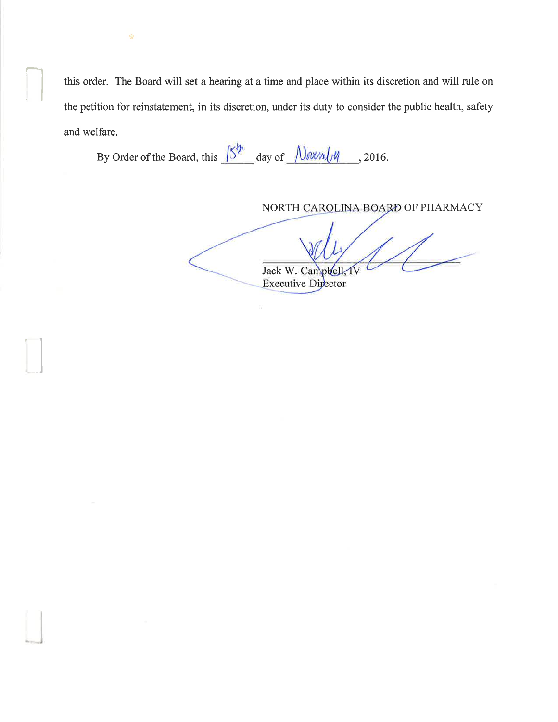this order. The Board will set a hearing at a time and place within its discretion and will rule on the petition for reinstatement, in its discretion, under its duty to consider the public health, safety and welfare.

By Order of the Board, this  $\sqrt{5^{h}}$  day of  $\sqrt{N}N\sqrt{N}$ , 2016.

 $\bigcap$ 

å

NORTH CAROLINA BOARD OF PHARMACY

Jack W. Campbell

Executive Director